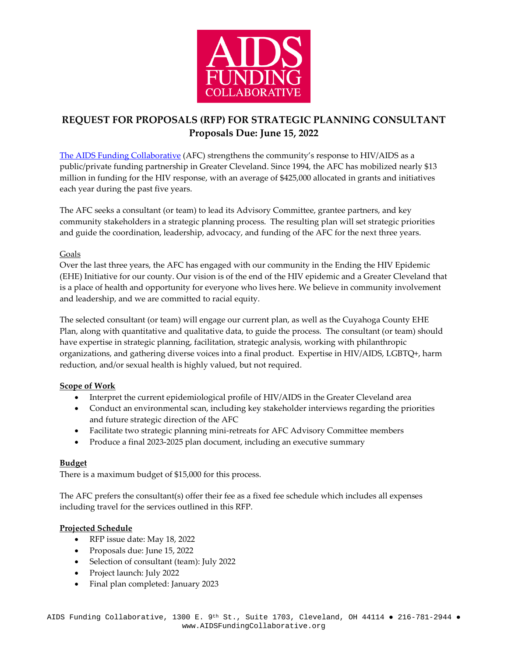

# **REQUEST FOR PROPOSALS (RFP) FOR STRATEGIC PLANNING CONSULTANT Proposals Due: June 15, 2022**

[The AIDS Funding Collaborative](https://www.aidsfundingcollaborative.org/about/strategic-plan/) (AFC) strengthens the community's response to HIV/AIDS as a public/private funding partnership in Greater Cleveland. Since 1994, the AFC has mobilized nearly \$13 million in funding for the HIV response, with an average of \$425,000 allocated in grants and initiatives each year during the past five years.

The AFC seeks a consultant (or team) to lead its Advisory Committee, grantee partners, and key community stakeholders in a strategic planning process. The resulting plan will set strategic priorities and guide the coordination, leadership, advocacy, and funding of the AFC for the next three years.

#### Goals

Over the last three years, the AFC has engaged with our community in the Ending the HIV Epidemic (EHE) Initiative for our county. Our vision is of the end of the HIV epidemic and a Greater Cleveland that is a place of health and opportunity for everyone who lives here. We believe in community involvement and leadership, and we are committed to racial equity.

The selected consultant (or team) will engage our current plan, as well as the Cuyahoga County EHE Plan, along with quantitative and qualitative data, to guide the process. The consultant (or team) should have expertise in strategic planning, facilitation, strategic analysis, working with philanthropic organizations, and gathering diverse voices into a final product. Expertise in HIV/AIDS, LGBTQ+, harm reduction, and/or sexual health is highly valued, but not required.

## **Scope of Work**

- Interpret the current epidemiological profile of HIV/AIDS in the Greater Cleveland area
- Conduct an environmental scan, including key stakeholder interviews regarding the priorities and future strategic direction of the AFC
- Facilitate two strategic planning mini-retreats for AFC Advisory Committee members
- Produce a final 2023-2025 plan document, including an executive summary

## **Budget**

There is a maximum budget of \$15,000 for this process.

The AFC prefers the consultant(s) offer their fee as a fixed fee schedule which includes all expenses including travel for the services outlined in this RFP.

## **Projected Schedule**

- RFP issue date: May 18, 2022
- Proposals due: June 15, 2022
- Selection of consultant (team): July 2022
- Project launch: July 2022
- Final plan completed: January 2023